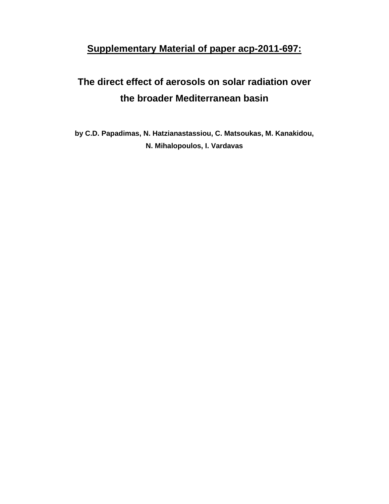## **Supplementary Material of paper acp-2011-697:**

## **The direct effect of aerosols on solar radiation over the broader Mediterranean basin**

**by C.D. Papadimas, N. Hatzianastassiou, C. Matsoukas, M. Kanakidou, N. Mihalopoulos, I. Vardavas**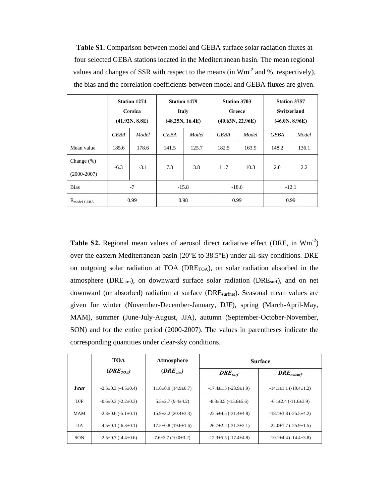**Table S1.** Comparison between model and GEBA surface solar radiation fluxes at four selected GEBA stations located in the Mediterranean basin. The mean regional values and changes of SSR with respect to the means (in Wm<sup>-2</sup> and %, respectively), the bias and the correlation coefficients between model and GEBA fluxes are given.

|                                | <b>Station 1274</b><br>Corsica<br>(41.92N, 8.8E) |        | <b>Station 1479</b><br>Italy<br>(48.25N, 16.4E) |         | <b>Station 3703</b><br>Greece<br>(40.63N, 22.96E) |       | <b>Station 3757</b><br>Switzerland<br>(46.0N, 8.96E) |       |
|--------------------------------|--------------------------------------------------|--------|-------------------------------------------------|---------|---------------------------------------------------|-------|------------------------------------------------------|-------|
|                                | <b>GEBA</b>                                      | Model  | <b>GEBA</b>                                     | Model   | <b>GEBA</b>                                       | Model | GEBA                                                 | Model |
| Mean value                     | 185.6                                            | 178.6  | 141.5                                           | 125.7   | 182.5                                             | 163.9 | 148.2                                                | 136.1 |
| Change $(\%)$<br>$(2000-2007)$ | $-6.3$                                           | $-3.1$ | 7.3                                             | 3.8     | 11.7                                              | 10.3  | 2.6                                                  | 2.2   |
| <b>Bias</b>                    |                                                  | $-7$   |                                                 | $-15.8$ | $-18.6$                                           |       | $-12.1$                                              |       |
| $R_{model\text{-}GEBA}$        |                                                  | 0.99   | 0.98                                            |         | 0.99                                              |       | 0.99                                                 |       |

Table S2. Regional mean values of aerosol direct radiative effect (DRE, in Wm<sup>-2</sup>) over the eastern Mediterranean basin (20°E to 38.5°E) under all-sky conditions. DRE on outgoing solar radiation at TOA (DRE<sub>TOA</sub>), on solar radiation absorbed in the atmosphere ( $DRE<sub>atm</sub>$ ), on downward surface solar radiation ( $DRE<sub>surf</sub>$ ), and on net downward (or absorbed) radiation at surface (DRE<sub>surfnet</sub>). Seasonal mean values are given for winter (November-December-January, DJF), spring (March-April-May, MAM), summer (June-July-August, JJA), autumn (September-October-November, SON) and for the entire period (2000-2007). The values in parentheses indicate the corresponding quantities under clear-sky conditions.

|              | TOA                               | Atmosphere                       | <b>Surface</b>                      |                                                                   |  |
|--------------|-----------------------------------|----------------------------------|-------------------------------------|-------------------------------------------------------------------|--|
|              | $(DRE_{TOA})$                     | $(DRE_{atm})$                    | $DRE_{surf}$                        | $\boldsymbol{D} \boldsymbol{R} \boldsymbol{E}_{\textit{netsurf}}$ |  |
| Year         | $-2.5 \pm 0.3$ ( $-4.5 \pm 0.4$ ) | $11.6 \pm 0.9$ (14.9 $\pm$ 0.7)  | $-17.4 \pm 1.5$ ( $-23.9 \pm 1.9$ ) | $-14.1 \pm 1.1 (-19.4 \pm 1.2)$                                   |  |
| $_{\rm DJF}$ | $-0.6 \pm 0.3$ ( $-2.2 \pm 0.3$ ) | $5.5 \pm 2.7$ (9.4 $\pm$ 4.2)    | $-8.3 \pm 3.5$ ( $-15.6 \pm 5.6$ )  | $-6.1\pm2.4$ ( $-11.6\pm3.9$ )                                    |  |
| MAM          | $-2.3 \pm 0.6$ ( $-5.1 \pm 0.1$ ) | $15.9 \pm 3.2$ (20.4 $\pm 3.3$ ) | $-22.5 \pm 4.5$ ( $-31.4 \pm 4.8$ ) | $-18.1\pm3.8$ ( $-25.5\pm4.2$ )                                   |  |
| <b>JJA</b>   | $-4.5\pm0.1$ ( $-6.3\pm0.1$ )     | $17.5 \pm 0.8$ (19.6 $\pm 1.6$ ) | $-26.7 \pm 2.2$ ( $-31.3 \pm 2.1$ ) | $-22.0 \pm 1.7 (-25.9 \pm 1.5)$                                   |  |
| SON          | $-2.5 \pm 0.7$ ( $-4.4 \pm 0.6$ ) | $7.6 \pm 3.7$ (10.0 $\pm$ 3.2)   | $-12.3 \pm 5.5$ ( $-17.4 \pm 4.8$ ) | $-10.1\pm4.4$ ( $-14.4\pm3.8$ )                                   |  |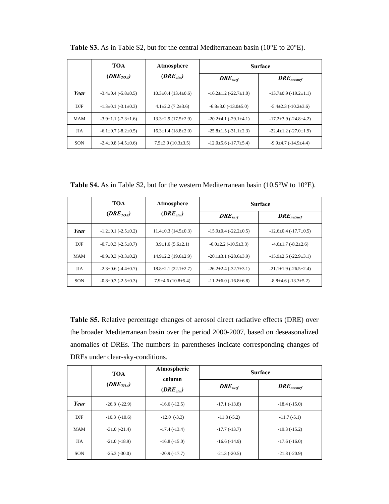|              | <b>TOA</b>                        | Atmosphere                      | <b>Surface</b>                      |                                     |  |
|--------------|-----------------------------------|---------------------------------|-------------------------------------|-------------------------------------|--|
|              | $(DRE_{TOA})$                     | $(DRE_{atm})$                   | DRE <sub>surf</sub>                 | $DRE_{nesturf}$                     |  |
| Year         | $-3.4 \pm 0.4$ ( $-5.8 \pm 0.5$ ) | $10.3 \pm 0.4$ (13.4 $\pm$ 0.6) | $-16.2 \pm 1.2$ ( $-22.7 \pm 1.0$ ) | $-13.7\pm0.9$ ( $-19.2\pm1.1$ )     |  |
| $_{\rm DIF}$ | $-1.3\pm0.1$ ( $-3.1\pm0.3$ )     | $4.1 \pm 2.2$ (7.2 $\pm 3.6$ )  | $-6.8 \pm 3.0$ ( $-13.0 \pm 5.0$ )  | $-5.4 \pm 2.3$ ( $-10.2 \pm 3.6$ )  |  |
| MAM          | $-3.9 \pm 1.1$ ( $-7.3 \pm 1.6$ ) | $13.3 \pm 2.9$ (17.5 $\pm$ 2.9) | $-20.2 \pm 4.1$ ( $-29.1 \pm 4.1$ ) | $-17.2 \pm 3.9$ ( $-24.8 \pm 4.2$ ) |  |
| <b>JJA</b>   | $-6.1 \pm 0.7$ ( $-8.2 \pm 0.5$ ) | $16.3 \pm 1.4(18.8 \pm 2.0)$    | $-25.8 \pm 1.5$ ( $-31.1 \pm 2.3$ ) | $-22.4 \pm 1.2$ ( $-27.0 \pm 1.9$ ) |  |
| <b>SON</b>   | $-2.4 \pm 0.8$ ( $-4.5 \pm 0.6$ ) | $7.5 \pm 3.9$ (10.3 $\pm 3.5$ ) | $-12.0 \pm 5.6$ ( $-17.7 \pm 5.4$ ) | $-9.9\pm4.7$ ( $-14.9\pm4.4$ )      |  |

**Table S3.** As in Table S2, but for the central Mediterranean basin (10°E to 20°E).

**Table S4.** As in Table S2, but for the western Mediterranean basin (10.5°W to 10°E).

|              | TOA                               | Atmosphere                       | <b>Surface</b>                      |                                     |  |
|--------------|-----------------------------------|----------------------------------|-------------------------------------|-------------------------------------|--|
|              | $(DRE_{TOA})$                     | $(DRE_{atm})$                    | $DRE_{surf}$                        | $DRE_{nesturf}$                     |  |
| Year         | $-1.2\pm0.1$ ( $-2.5\pm0.2$ )     | $11.4 \pm 0.3$ (14.5 $\pm$ 0.3)  | $-15.9 \pm 0.4$ ( $-22.2 \pm 0.5$ ) | $-12.6 \pm 0.4$ ( $-17.7 \pm 0.5$ ) |  |
| $_{\rm DIF}$ | $-0.7\pm0.3$ ( $-2.5\pm0.7$ )     | $3.9 \pm 1.6$ (5.6 $\pm 2.1$ )   | $-6.0\pm2.2$ ( $-10.5\pm3.3$ )      | $-4.6 \pm 1.7$ ( $-8.2 \pm 2.6$ )   |  |
| <b>MAM</b>   | $-0.9 \pm 0.3$ ( $-3.3 \pm 0.2$ ) | $14.9 \pm 2.2$ (19.6 $\pm 2.9$ ) | $-20.1 \pm 3.1$ ( $-28.6 \pm 3.9$ ) | $-15.9\pm 2.5$ ( $-22.9\pm 3.1$ )   |  |
| <b>JJA</b>   | $-2.3 \pm 0.6$ ( $-4.4 \pm 0.7$ ) | $18.8 \pm 2.1(22.1 \pm 2.7)$     | $-26.2 \pm 2.4$ ( $-32.7 \pm 3.1$ ) | $-21.1 \pm 1.9$ ( $-26.5 \pm 2.4$ ) |  |
| <b>SON</b>   | $-0.8 \pm 0.3$ ( $-2.5 \pm 0.3$ ) | $7.9\pm4.6(10.8\pm5.4)$          | $-11.2\pm 6.0$ ( $-16.8\pm 6.8$ )   | $-8.8\pm4.6$ ( $-13.3\pm5.2$ )      |  |

**Table S5.** Relative percentage changes of aerosol direct radiative effects (DRE) over the broader Mediterranean basin over the period 2000-2007, based on deseasonalized anomalies of DREs. The numbers in parentheses indicate corresponding changes of DREs under clear-sky-conditions.

|              | <b>TOA</b>        | Atmospheric<br>column<br>$(DRE_{atm})$ | <b>Surface</b> |                                                                   |  |
|--------------|-------------------|----------------------------------------|----------------|-------------------------------------------------------------------|--|
|              | $(DRE_{TOA})$     |                                        | $DRE_{surf}$   | $\boldsymbol{D} \boldsymbol{R} \boldsymbol{E}_{\textit{netsurf}}$ |  |
| Year         | $-26.8$ $(-22.9)$ | $-16.6(-12.5)$                         | $-17.1(-13.8)$ | $-18.4(-15.0)$                                                    |  |
| $_{\rm DJF}$ | $-10.3$ $(-10.6)$ | $-12.0$ $(-3.3)$                       | $-11.8(-5.2)$  | $-11.7(-5.1)$                                                     |  |
| <b>MAM</b>   | $-31.0(-21.4)$    | $-17.4(-13.4)$                         | $-17.7(-13.7)$ | $-19.3(-15.2)$                                                    |  |
| <b>JJA</b>   | $-21.0(-18.9)$    | $-16.8(-15.0)$                         | $-16.6(-14.9)$ | $-17.6(-16.0)$                                                    |  |
| SON          | $-25.3(-30.0)$    | $-20.9(-17.7)$                         | $-21.3(-20.5)$ | $-21.8(-20.9)$                                                    |  |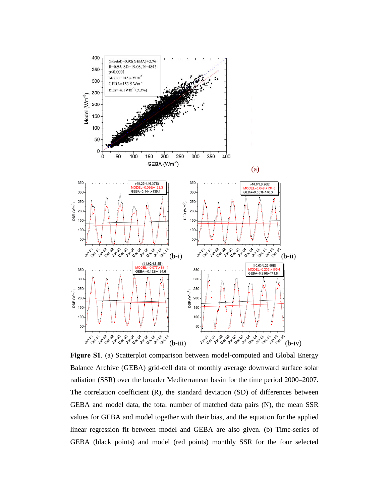

**Figure S1**. (a) Scatterplot comparison between model-computed and Global Energy Balance Archive (GEBA) grid-cell data of monthly average downward surface solar radiation (SSR) over the broader Mediterranean basin for the time period 2000–2007. The correlation coefficient (R), the standard deviation (SD) of differences between GEBA and model data, the total number of matched data pairs (N), the mean SSR values for GEBA and model together with their bias, and the equation for the applied linear regression fit between model and GEBA are also given. (b) Time-series of GEBA (black points) and model (red points) monthly SSR for the four selected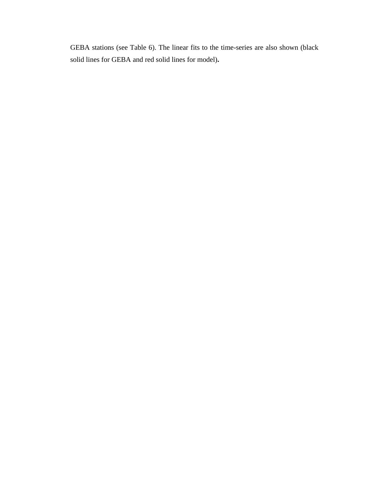GEBA stations (see Table 6). The linear fits to the time-series are also shown (black solid lines for GEBA and red solid lines for model)**.**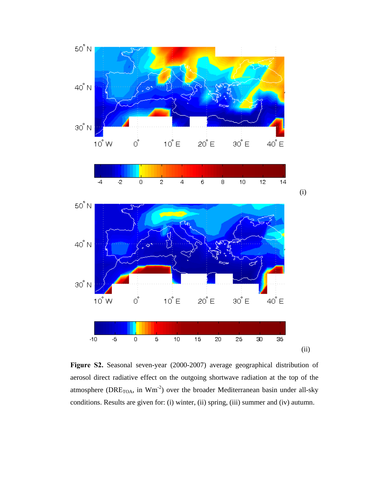

**Figure S2.** Seasonal seven-year (2000-2007) average geographical distribution of aerosol direct radiative effect on the outgoing shortwave radiation at the top of the atmosphere (DRE<sub>TOA</sub>, in  $Wm^{-2}$ ) over the broader Mediterranean basin under all-sky conditions. Results are given for: (i) winter, (ii) spring, (iii) summer and (iv) autumn.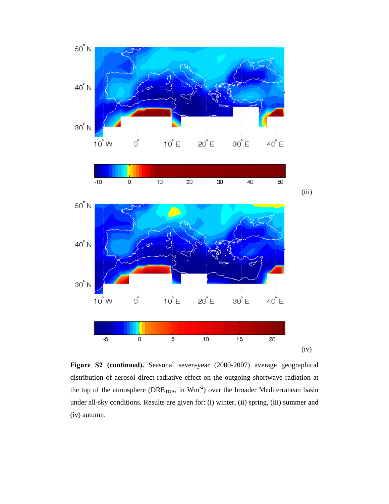

**Figure S2 (continued).** Seasonal seven-year (2000-2007) average geographical distribution of aerosol direct radiative effect on the outgoing shortwave radiation at the top of the atmosphere ( $DRE<sub>TOA</sub>$ , in  $Wm<sup>-2</sup>$ ) over the broader Mediterranean basin under all-sky conditions. Results are given for: (i) winter, (ii) spring, (iii) summer and (iv) autumn.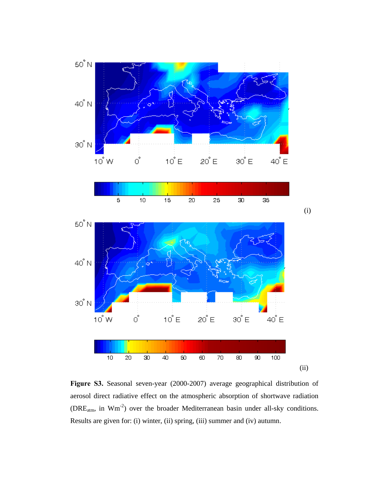

**Figure S3.** Seasonal seven-year (2000-2007) average geographical distribution of aerosol direct radiative effect on the atmospheric absorption of shortwave radiation (DREatm, in Wm-2) over the broader Mediterranean basin under all-sky conditions. Results are given for: (i) winter, (ii) spring, (iii) summer and (iv) autumn.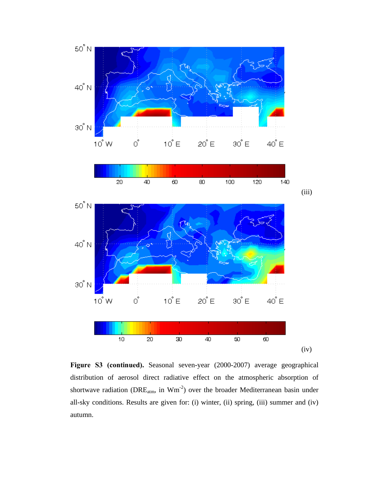

**Figure S3 (continued).** Seasonal seven-year (2000-2007) average geographical distribution of aerosol direct radiative effect on the atmospheric absorption of shortwave radiation ( $DRE_{atm}$ , in  $Wm^{-2}$ ) over the broader Mediterranean basin under all-sky conditions. Results are given for: (i) winter, (ii) spring, (iii) summer and (iv) autumn.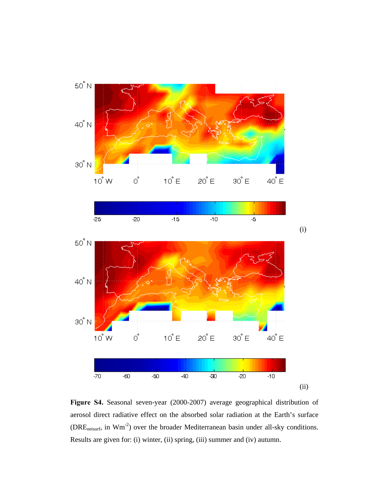

**Figure S4.** Seasonal seven-year (2000-2007) average geographical distribution of aerosol direct radiative effect on the absorbed solar radiation at the Earth's surface (DREnetsurf, in Wm-2) over the broader Mediterranean basin under all-sky conditions. Results are given for: (i) winter, (ii) spring, (iii) summer and (iv) autumn.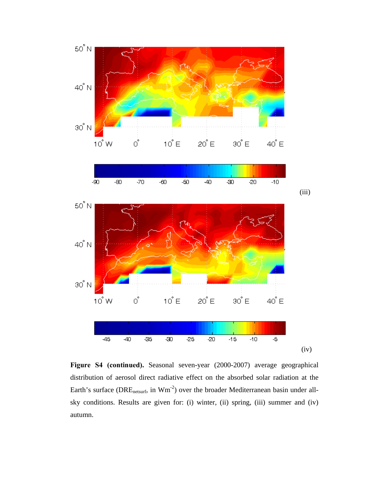

**Figure S4 (continued).** Seasonal seven-year (2000-2007) average geographical distribution of aerosol direct radiative effect on the absorbed solar radiation at the Earth's surface (DRE<sub>netsurf</sub>, in Wm<sup>-2</sup>) over the broader Mediterranean basin under allsky conditions. Results are given for: (i) winter, (ii) spring, (iii) summer and (iv) autumn.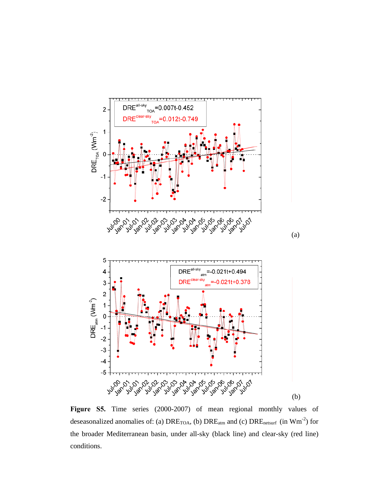

**Figure S5.** Time series (2000-2007) of mean regional monthly values of deseasonalized anomalies of: (a)  $DRE<sub>TOA</sub>$ , (b)  $DRE<sub>atm</sub>$  and (c)  $DRE<sub>nesturf</sub>$  (in Wm<sup>-2</sup>) for the broader Mediterranean basin, under all-sky (black line) and clear-sky (red line) conditions.